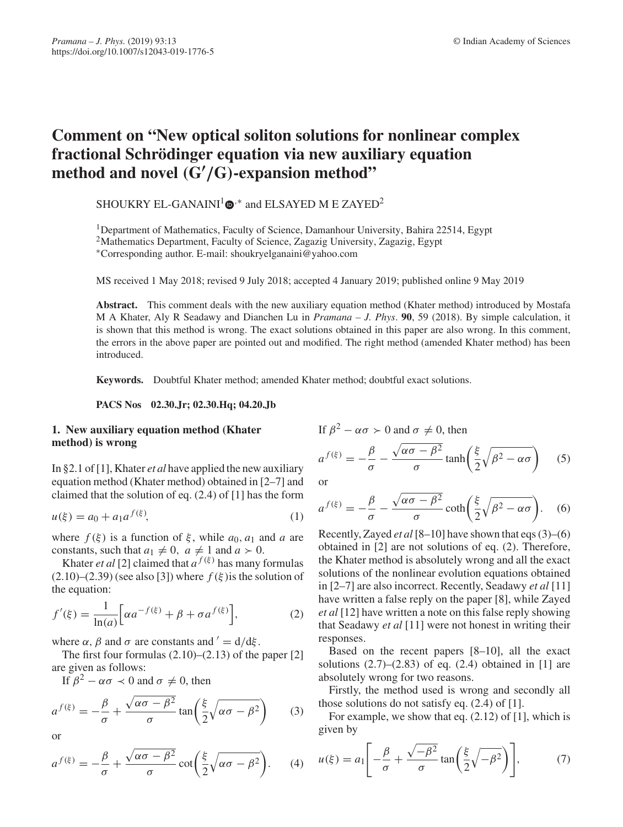# **Comment on "New optical soliton solutions for nonlinear complex fractional Schrödinger equation via new auxiliary equation method and novel** *(***G-** */***G***)***-expansion method"**

SHOUKRY EL-GANAINI<sup>1</sup> $\Phi$ <sup>\*</sup> and ELSAYED M E ZAYED<sup>2</sup>

1Department of Mathematics, Faculty of Science, Damanhour University, Bahira 22514, Egypt <sup>2</sup>Mathematics Department, Faculty of Science, Zagazig University, Zagazig, Egypt

∗Corresponding author. E-mail: shoukryelganaini@yahoo.com

MS received 1 May 2018; revised 9 July 2018; accepted 4 January 2019; published online 9 May 2019

**Abstract.** This comment deals with the new auxiliary equation method (Khater method) introduced by Mostafa M A Khater, Aly R Seadawy and Dianchen Lu in *Pramana – J. Phys*. **90**, 59 (2018). By simple calculation, it is shown that this method is wrong. The exact solutions obtained in this paper are also wrong. In this comment, the errors in the above paper are pointed out and modified. The right method (amended Khater method) has been introduced.

**Keywords.** Doubtful Khater method; amended Khater method; doubtful exact solutions.

**PACS Nos 02.30.Jr; 02.30.Hq; 04.20.Jb**

## **1. New auxiliary equation method (Khater method) is wrong**

In §2.1 of [1], Khater *et al* have applied the new auxiliary equation method (Khater method) obtained in [2–7] and claimed that the solution of eq. (2.4) of [1] has the form

$$
u(\xi) = a_0 + a_1 a^{f(\xi)},
$$
\n(1)

where  $f(\xi)$  is a function of  $\xi$ , while  $a_0$ ,  $a_1$  and  $a$  are constants, such that  $a_1 \neq 0$ ,  $a \neq 1$  and  $a > 0$ .

Khater *et al* [2] claimed that  $a^{f(\xi)}$  has many formulas  $(2.10)$ – $(2.39)$  (see also [3]) where  $f(\xi)$  is the solution of the equation:

$$
f'(\xi) = \frac{1}{\ln(a)} \Big[ \alpha a^{-f(\xi)} + \beta + \sigma a^{f(\xi)} \Big],
$$
 (2)

where  $\alpha$ ,  $\beta$  and  $\sigma$  are constants and  $' = d/d\xi$ .

The first four formulas  $(2.10)$ – $(2.13)$  of the paper [2] are given as follows:

If  $\beta^2 - \alpha \sigma \prec 0$  and  $\sigma \neq 0$ , then

$$
a^{f(\xi)} = -\frac{\beta}{\sigma} + \frac{\sqrt{\alpha \sigma - \beta^2}}{\sigma} \tan\left(\frac{\xi}{2}\sqrt{\alpha \sigma - \beta^2}\right) \tag{3}
$$

or

$$
a^{f(\xi)} = -\frac{\beta}{\sigma} + \frac{\sqrt{\alpha \sigma - \beta^2}}{\sigma} \cot\left(\frac{\xi}{2} \sqrt{\alpha \sigma - \beta^2}\right).
$$
 (4)

If 
$$
\beta^2 - \alpha \sigma > 0
$$
 and  $\sigma \neq 0$ , then

$$
a^{f(\xi)} = -\frac{\beta}{\sigma} - \frac{\sqrt{\alpha \sigma - \beta^2}}{\sigma} \tanh\left(\frac{\xi}{2}\sqrt{\beta^2 - \alpha \sigma}\right) \quad (5)
$$

or

$$
a^{f(\xi)} = -\frac{\beta}{\sigma} - \frac{\sqrt{\alpha \sigma - \beta^2}}{\sigma} \coth\left(\frac{\xi}{2} \sqrt{\beta^2 - \alpha \sigma}\right).
$$
 (6)

Recently, Zayed *et al*[8–10] have shown that eqs (3)–(6) obtained in [2] are not solutions of eq. (2). Therefore, the Khater method is absolutely wrong and all the exact solutions of the nonlinear evolution equations obtained in [2–7] are also incorrect. Recently, Seadawy *et al* [11] have written a false reply on the paper [8], while Zayed *et al* [12] have written a note on this false reply showing that Seadawy *et al* [11] were not honest in writing their responses.

Based on the recent papers [8–10], all the exact solutions  $(2.7)$ – $(2.83)$  of eq.  $(2.4)$  obtained in [1] are absolutely wrong for two reasons.

Firstly, the method used is wrong and secondly all those solutions do not satisfy eq. (2.4) of [1].

For example, we show that eq.  $(2.12)$  of [1], which is given by

$$
u(\xi) = a_1 \left[ -\frac{\beta}{\sigma} + \frac{\sqrt{-\beta^2}}{\sigma} \tan\left(\frac{\xi}{2}\sqrt{-\beta^2}\right) \right],\tag{7}
$$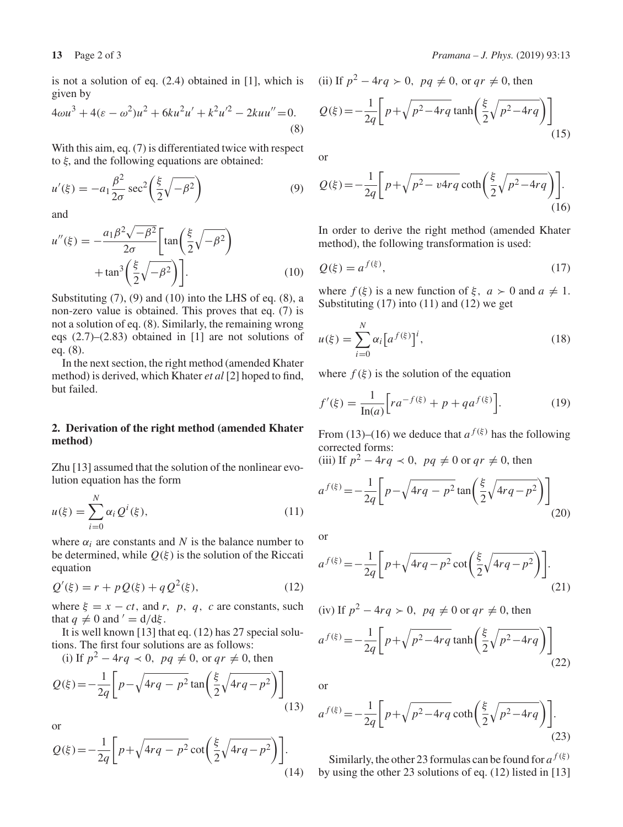is not a solution of eq. (2.4) obtained in [1], which is given by

$$
4\omega u^3 + 4(\varepsilon - \omega^2)u^2 + 6ku^2u' + k^2u'^2 - 2kuu'' = 0.
$$
\n(8)

With this aim, eq. (7) is differentiated twice with respect to  $\xi$ , and the following equations are obtained:

$$
u'(\xi) = -a_1 \frac{\beta^2}{2\sigma} \sec^2\left(\frac{\xi}{2} \sqrt{-\beta^2}\right)
$$
 (9)

and

$$
u''(\xi) = -\frac{a_1 \beta^2 \sqrt{-\beta^2}}{2\sigma} \left[ \tan\left(\frac{\xi}{2} \sqrt{-\beta^2}\right) + \tan^3\left(\frac{\xi}{2} \sqrt{-\beta^2}\right) \right].
$$
 (10)

Substituting  $(7)$ ,  $(9)$  and  $(10)$  into the LHS of eq.  $(8)$ , a non-zero value is obtained. This proves that eq. (7) is not a solution of eq. (8). Similarly, the remaining wrong eqs (2.7)–(2.83) obtained in [1] are not solutions of eq. (8).

In the next section, the right method (amended Khater method) is derived, which Khater *et al* [2] hoped to find, but failed.

### **2. Derivation of the right method (amended Khater method)**

Zhu [13] assumed that the solution of the nonlinear evolution equation has the form

$$
u(\xi) = \sum_{i=0}^{N} \alpha_i Q^i(\xi),
$$
 (11)

where  $\alpha_i$  are constants and *N* is the balance number to be determined, while  $Q(\xi)$  is the solution of the Riccati equation

$$
Q'(\xi) = r + pQ(\xi) + qQ^{2}(\xi),
$$
 (12)

where  $\xi = x - ct$ , and *r*, *p*, *q*, *c* are constants, such that  $q \neq 0$  and  $' = d/d\xi$ .

It is well known [13] that eq. (12) has 27 special solutions. The first four solutions are as follows:

(i) If  $p^2 - 4rq \prec 0$ ,  $pq \neq 0$ , or  $qr \neq 0$ , then

$$
Q(\xi) = -\frac{1}{2q} \left[ p - \sqrt{4rq - p^2} \tan\left(\frac{\xi}{2}\sqrt{4rq - p^2}\right) \right]
$$
(13)

or

$$
Q(\xi) = -\frac{1}{2q} \left[ p + \sqrt{4rq - p^2} \cot\left(\frac{\xi}{2}\sqrt{4rq - p^2}\right) \right].
$$
\n(14)

(ii) If 
$$
p^2 - 4rq > 0
$$
,  $pq \neq 0$ , or  $qr \neq 0$ , then  
\n
$$
Q(\xi) = -\frac{1}{2q} \left[ p + \sqrt{p^2 - 4rq} \tanh\left(\frac{\xi}{2}\sqrt{p^2 - 4rq}\right) \right]
$$
\n(15)

or

$$
Q(\xi) = -\frac{1}{2q} \left[ p + \sqrt{p^2 - v 4rq} \coth\left(\frac{\xi}{2} \sqrt{p^2 - 4rq}\right) \right].
$$
\n(16)

In order to derive the right method (amended Khater method), the following transformation is used:

$$
Q(\xi) = a^{f(\xi)},\tag{17}
$$

where  $f(\xi)$  is a new function of  $\xi$ ,  $a > 0$  and  $a \neq 1$ . Substituting  $(17)$  into  $(11)$  and  $(12)$  we get

$$
u(\xi) = \sum_{i=0}^{N} \alpha_i \left[ a^{f(\xi)} \right]^i,
$$
\n(18)

where  $f(\xi)$  is the solution of the equation

$$
f'(\xi) = \frac{1}{\ln(a)} \Big[ r a^{-f(\xi)} + p + q a^{f(\xi)} \Big].
$$
 (19)

From (13)–(16) we deduce that  $a^{f(\xi)}$  has the following corrected forms:

(iii) If  $p^2 - 4rq \lt 0$ ,  $pq \neq 0$  or  $qr \neq 0$ , then

$$
a^{f(\xi)} = -\frac{1}{2q} \left[ p - \sqrt{4rq - p^2} \tan\left(\frac{\xi}{2}\sqrt{4rq - p^2}\right) \right]
$$
(20)

or

$$
a^{f(\xi)} = -\frac{1}{2q} \left[ p + \sqrt{4rq - p^2} \cot\left(\frac{\xi}{2}\sqrt{4rq - p^2}\right) \right].
$$
\n(21)

(iv) If 
$$
p^2 - 4rq > 0
$$
,  $pq \neq 0$  or  $qr \neq 0$ , then

$$
a^{f(\xi)} = -\frac{1}{2q} \left[ p + \sqrt{p^2 - 4rq} \tanh\left(\frac{\xi}{2}\sqrt{p^2 - 4rq}\right) \right]
$$
(22)

or

$$
a^{f(\xi)} = -\frac{1}{2q} \left[ p + \sqrt{p^2 - 4rq} \coth\left(\frac{\xi}{2}\sqrt{p^2 - 4rq}\right) \right].
$$
\n(23)

Similarly, the other 23 formulas can be found for  $a^{f(\xi)}$ by using the other 23 solutions of eq. (12) listed in [13]